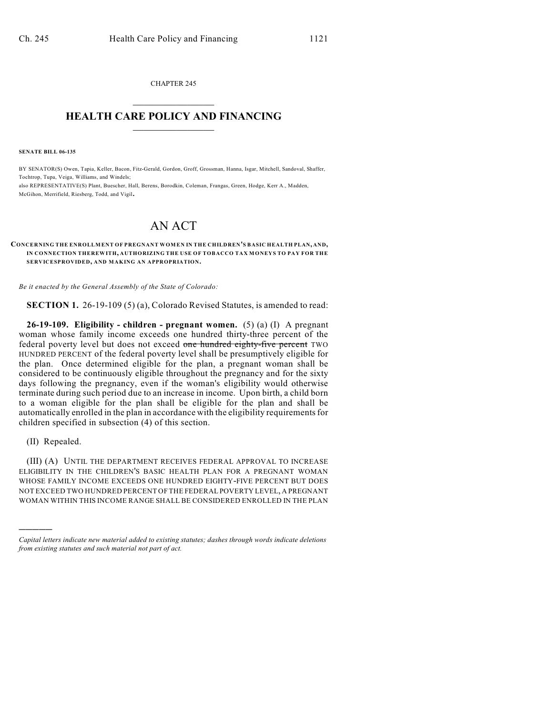CHAPTER 245  $\overline{\phantom{a}}$  . The set of the set of the set of the set of the set of the set of the set of the set of the set of the set of the set of the set of the set of the set of the set of the set of the set of the set of the set o

## **HEALTH CARE POLICY AND FINANCING**  $\_$   $\_$   $\_$   $\_$   $\_$   $\_$   $\_$   $\_$

**SENATE BILL 06-135**

BY SENATOR(S) Owen, Tapia, Keller, Bacon, Fitz-Gerald, Gordon, Groff, Grossman, Hanna, Isgar, Mitchell, Sandoval, Shaffer, Tochtrop, Tupa, Veiga, Williams, and Windels; also REPRESENTATIVE(S) Plant, Buescher, Hall, Berens, Borodkin, Coleman, Frangas, Green, Hodge, Kerr A., Madden, McGihon, Merrifield, Riesberg, Todd, and Vigil.

## AN ACT

## $$ **IN CONNECTION THEREWITH, AUTHORIZING THE USE OF TOBACCO TAX MONEYS TO PAY FOR THE SERVICESPROVIDED, AND MAKING AN APPROPRIATION.**

*Be it enacted by the General Assembly of the State of Colorado:*

**SECTION 1.** 26-19-109 (5) (a), Colorado Revised Statutes, is amended to read:

**26-19-109. Eligibility - children - pregnant women.** (5) (a) (I) A pregnant woman whose family income exceeds one hundred thirty-three percent of the federal poverty level but does not exceed one hundred eighty-five percent TWO HUNDRED PERCENT of the federal poverty level shall be presumptively eligible for the plan. Once determined eligible for the plan, a pregnant woman shall be considered to be continuously eligible throughout the pregnancy and for the sixty days following the pregnancy, even if the woman's eligibility would otherwise terminate during such period due to an increase in income. Upon birth, a child born to a woman eligible for the plan shall be eligible for the plan and shall be automatically enrolled in the plan in accordance with the eligibility requirements for children specified in subsection (4) of this section.

(II) Repealed.

)))))

(III) (A) UNTIL THE DEPARTMENT RECEIVES FEDERAL APPROVAL TO INCREASE ELIGIBILITY IN THE CHILDREN'S BASIC HEALTH PLAN FOR A PREGNANT WOMAN WHOSE FAMILY INCOME EXCEEDS ONE HUNDRED EIGHTY-FIVE PERCENT BUT DOES NOT EXCEED TWO HUNDRED PERCENT OF THE FEDERAL POVERTY LEVEL, A PREGNANT WOMAN WITHIN THIS INCOME RANGE SHALL BE CONSIDERED ENROLLED IN THE PLAN

*Capital letters indicate new material added to existing statutes; dashes through words indicate deletions from existing statutes and such material not part of act.*